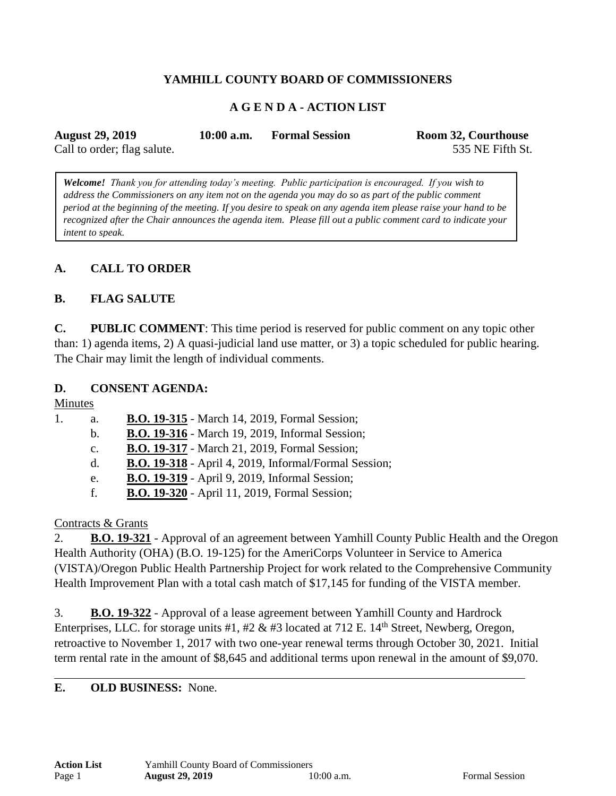## **YAMHILL COUNTY BOARD OF COMMISSIONERS**

### **A G E N D A - ACTION LIST**

| <b>August 29, 2019</b>      | $10:00$ a.m. | <b>Formal Session</b> | <b>Room 32, Courthouse</b> |
|-----------------------------|--------------|-----------------------|----------------------------|
| Call to order; flag salute. |              |                       | 535 NE Fifth St.           |

*Welcome! Thank you for attending today's meeting. Public participation is encouraged. If you wish to address the Commissioners on any item not on the agenda you may do so as part of the public comment period at the beginning of the meeting. If you desire to speak on any agenda item please raise your hand to be recognized after the Chair announces the agenda item. Please fill out a public comment card to indicate your intent to speak.*

### **A. CALL TO ORDER**

### **B. FLAG SALUTE**

**C. PUBLIC COMMENT**: This time period is reserved for public comment on any topic other than: 1) agenda items, 2) A quasi-judicial land use matter, or 3) a topic scheduled for public hearing. The Chair may limit the length of individual comments.

#### **D. CONSENT AGENDA:**

Minutes

| 1. | a.             | B.O. 19-315 - March 14, 2019, Formal Session;                |
|----|----------------|--------------------------------------------------------------|
|    | $\mathbf{b}$ . | <b>B.O. 19-316</b> - March 19, 2019, Informal Session;       |
|    | $C_{\bullet}$  | <b>B.O. 19-317</b> - March 21, 2019, Formal Session;         |
|    | $d_{\cdot}$    | <b>B.O. 19-318</b> - April 4, 2019, Informal/Formal Session; |
|    | e.             | <b>B.O. 19-319</b> - April 9, 2019, Informal Session;        |
|    | f.             | <b>B.O. 19-320</b> - April 11, 2019, Formal Session;         |
|    |                |                                                              |

#### Contracts & Grants

2. **B.O. 19-321** - Approval of an agreement between Yamhill County Public Health and the Oregon Health Authority (OHA) (B.O. 19-125) for the AmeriCorps Volunteer in Service to America (VISTA)/Oregon Public Health Partnership Project for work related to the Comprehensive Community Health Improvement Plan with a total cash match of \$17,145 for funding of the VISTA member.

3. **B.O. 19-322** - Approval of a lease agreement between Yamhill County and Hardrock Enterprises, LLC. for storage units #1, #2  $\&$  #3 located at 712 E. 14<sup>th</sup> Street, Newberg, Oregon, retroactive to November 1, 2017 with two one-year renewal terms through October 30, 2021. Initial term rental rate in the amount of \$8,645 and additional terms upon renewal in the amount of \$9,070.

#### **E. OLD BUSINESS:** None.